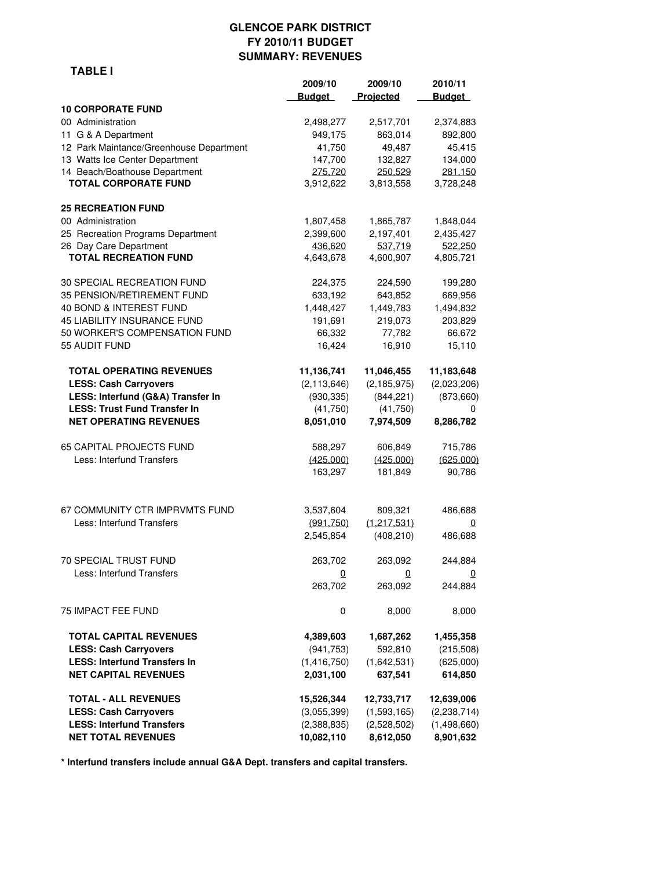## **GLENCOE PARK DISTRICT FY 2010/11 BUDGET SUMMARY: REVENUES**

|                                         | 2009/10       | 2009/10                 | 2010/11        |
|-----------------------------------------|---------------|-------------------------|----------------|
|                                         | <b>Budget</b> | Projected               | <b>Budget</b>  |
| <b>10 CORPORATE FUND</b>                |               |                         |                |
| 00 Administration                       | 2,498,277     | 2,517,701               | 2,374,883      |
| 11 G & A Department                     | 949,175       | 863,014                 | 892,800        |
| 12 Park Maintance/Greenhouse Department | 41,750        | 49,487                  | 45,415         |
| 13 Watts Ice Center Department          | 147,700       | 132,827                 | 134,000        |
| 14 Beach/Boathouse Department           | 275,720       | 250,529                 | 281,150        |
| <b>TOTAL CORPORATE FUND</b>             | 3,912,622     | 3,813,558               | 3,728,248      |
| <b>25 RECREATION FUND</b>               |               |                         |                |
| 00 Administration                       | 1,807,458     | 1,865,787               | 1,848,044      |
| 25 Recreation Programs Department       | 2,399,600     | 2,197,401               | 2,435,427      |
| 26 Day Care Department                  | 436,620       | 537,719                 | 522,250        |
| <b>TOTAL RECREATION FUND</b>            | 4,643,678     | 4,600,907               | 4,805,721      |
| 30 SPECIAL RECREATION FUND              | 224,375       | 224,590                 | 199,280        |
| 35 PENSION/RETIREMENT FUND              | 633,192       | 643,852                 | 669,956        |
| 40 BOND & INTEREST FUND                 | 1,448,427     | 1,449,783               | 1,494,832      |
| 45 LIABILITY INSURANCE FUND             | 191,691       | 219,073                 | 203,829        |
| 50 WORKER'S COMPENSATION FUND           | 66,332        | 77,782                  | 66,672         |
| 55 AUDIT FUND                           | 16,424        | 16,910                  | 15,110         |
| <b>TOTAL OPERATING REVENUES</b>         | 11,136,741    | 11,046,455              | 11,183,648     |
| <b>LESS: Cash Carryovers</b>            | (2, 113, 646) | (2, 185, 975)           | (2,023,206)    |
| LESS: Interfund (G&A) Transfer In       | (930, 335)    | (844, 221)              | (873, 660)     |
| <b>LESS: Trust Fund Transfer In</b>     | (41, 750)     | (41, 750)               | 0              |
| <b>NET OPERATING REVENUES</b>           | 8,051,010     | 7,974,509               | 8,286,782      |
| <b>65 CAPITAL PROJECTS FUND</b>         | 588,297       | 606,849                 | 715,786        |
| Less: Interfund Transfers               | (425,000)     | (425,000)               | (625,000)      |
|                                         | 163,297       | 181,849                 | 90,786         |
|                                         |               |                         |                |
| 67 COMMUNITY CTR IMPRVMTS FUND          | 3,537,604     | 809,321                 | 486,688        |
| Less: Interfund Transfers               | (991, 750)    | (1,217,531)             | 0              |
|                                         | 2,545,854     | (408, 210)              | 486,688        |
| 70 SPECIAL TRUST FUND                   | 263,702       | 263,092                 | 244,884        |
| Less: Interfund Transfers               | $\mathbf{0}$  | $\overline{\mathbf{0}}$ | $\overline{0}$ |
|                                         | 263,702       | 263,092                 | 244,884        |
| 75 IMPACT FEE FUND                      | 0             | 8,000                   | 8,000          |
| <b>TOTAL CAPITAL REVENUES</b>           | 4,389,603     | 1,687,262               | 1,455,358      |
| <b>LESS: Cash Carryovers</b>            | (941, 753)    | 592,810                 | (215,508)      |
| <b>LESS: Interfund Transfers In</b>     | (1, 416, 750) | (1,642,531)             | (625,000)      |
| <b>NET CAPITAL REVENUES</b>             | 2,031,100     | 637,541                 | 614,850        |
| <b>TOTAL - ALL REVENUES</b>             | 15,526,344    | 12,733,717              | 12,639,006     |
| <b>LESS: Cash Carryovers</b>            | (3,055,399)   | (1,593,165)             | (2, 238, 714)  |
| <b>LESS: Interfund Transfers</b>        | (2,388,835)   | (2,528,502)             | (1,498,660)    |
| <b>NET TOTAL REVENUES</b>               | 10,082,110    | 8,612,050               | 8,901,632      |

**\* Interfund transfers include annual G&A Dept. transfers and capital transfers.**

#### **TABLE I**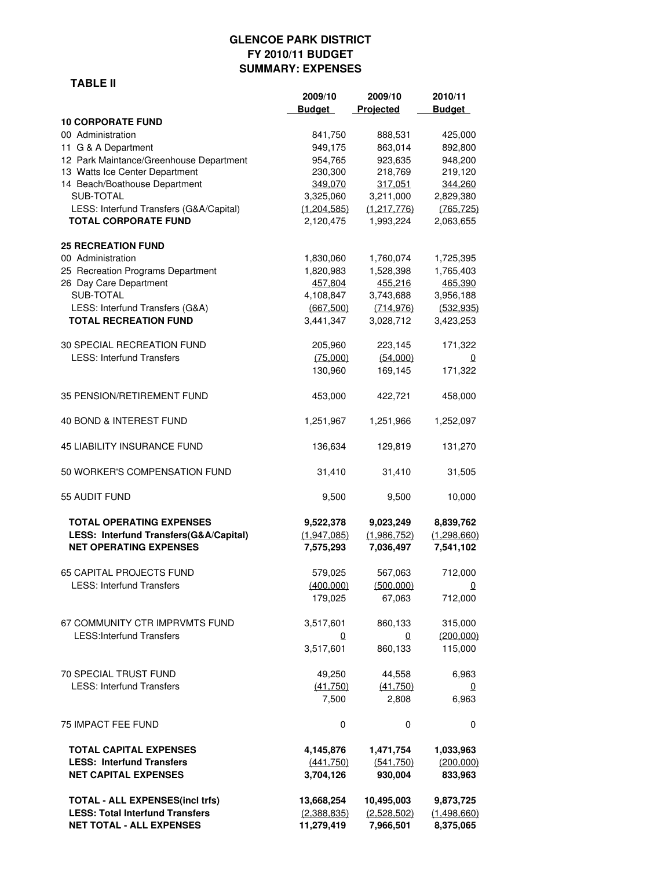# **GLENCOE PARK DISTRICT FY 2010/11 BUDGET SUMMARY: EXPENSES**

#### **TABLE II**

|                                                                         | 2009/10<br><b>Budget</b> | 2009/10<br>Projected     | 2010/11<br><b>Budget</b> |
|-------------------------------------------------------------------------|--------------------------|--------------------------|--------------------------|
| <b>10 CORPORATE FUND</b>                                                |                          |                          |                          |
| 00 Administration                                                       | 841,750                  | 888,531                  | 425,000                  |
| 11 G & A Department                                                     | 949,175                  | 863,014                  | 892,800                  |
| 12 Park Maintance/Greenhouse Department                                 | 954,765                  | 923,635                  | 948,200                  |
| 13 Watts Ice Center Department                                          | 230,300                  | 218,769                  | 219,120                  |
| 14 Beach/Boathouse Department<br>SUB-TOTAL                              | 349.070                  | 317,051                  | 344,260                  |
| LESS: Interfund Transfers (G&A/Capital)                                 | 3,325,060<br>(1,204,585) | 3,211,000<br>(1,217,776) | 2,829,380<br>(765, 725)  |
| <b>TOTAL CORPORATE FUND</b>                                             | 2,120,475                | 1,993,224                | 2,063,655                |
| <b>25 RECREATION FUND</b>                                               |                          |                          |                          |
| 00 Administration                                                       | 1,830,060                | 1,760,074                | 1,725,395                |
| 25 Recreation Programs Department                                       | 1,820,983                | 1,528,398                | 1,765,403                |
| 26 Day Care Department                                                  | 457.804                  | 455.216                  | 465.390                  |
| SUB-TOTAL                                                               | 4,108,847                | 3,743,688                | 3,956,188                |
| LESS: Interfund Transfers (G&A)<br><b>TOTAL RECREATION FUND</b>         | (667, 500)<br>3,441,347  | (714, 976)<br>3,028,712  | (532, 935)<br>3,423,253  |
| 30 SPECIAL RECREATION FUND                                              | 205,960                  | 223,145                  | 171,322                  |
| <b>LESS: Interfund Transfers</b>                                        | (75,000)                 | (54,000)                 | 0                        |
|                                                                         | 130,960                  | 169,145                  | 171,322                  |
| 35 PENSION/RETIREMENT FUND                                              | 453,000                  | 422,721                  | 458,000                  |
| 40 BOND & INTEREST FUND                                                 | 1,251,967                | 1,251,966                | 1,252,097                |
| <b>45 LIABILITY INSURANCE FUND</b>                                      | 136,634                  | 129,819                  | 131,270                  |
| 50 WORKER'S COMPENSATION FUND                                           | 31,410                   | 31,410                   | 31,505                   |
| 55 AUDIT FUND                                                           | 9,500                    | 9,500                    | 10,000                   |
| <b>TOTAL OPERATING EXPENSES</b>                                         | 9,522,378                | 9,023,249                | 8,839,762                |
| LESS: Interfund Transfers(G&A/Capital)<br><b>NET OPERATING EXPENSES</b> | (1,947,085)<br>7,575,293 | (1,986,752)<br>7,036,497 | (1,298,660)<br>7,541,102 |
| <b>65 CAPITAL PROJECTS FUND</b>                                         | 579,025                  | 567,063                  | 712,000                  |
| <b>LESS: Interfund Transfers</b>                                        | (400,000)                | (500,000)                | 0                        |
|                                                                         | 179,025                  | 67,063                   | 712,000                  |
| 67 COMMUNITY CTR IMPRVMTS FUND                                          | 3,517,601                | 860,133                  | 315,000                  |
| <b>LESS:Interfund Transfers</b>                                         | 0                        | 0                        | (200, 000)               |
|                                                                         | 3,517,601                | 860,133                  | 115,000                  |
| 70 SPECIAL TRUST FUND                                                   | 49,250                   | 44,558                   | 6,963                    |
| <b>LESS: Interfund Transfers</b>                                        | (41,750)                 | (41,750)                 | 0                        |
|                                                                         | 7,500                    | 2,808                    | 6,963                    |
| 75 IMPACT FEE FUND                                                      | 0                        | 0                        | 0                        |
| <b>TOTAL CAPITAL EXPENSES</b>                                           | 4,145,876                | 1,471,754                | 1,033,963                |
| <b>LESS: Interfund Transfers</b>                                        | (441,750)                | (541,750)                | (200,000)                |
| <b>NET CAPITAL EXPENSES</b>                                             | 3,704,126                | 930,004                  | 833,963                  |
| <b>TOTAL - ALL EXPENSES(incl trfs)</b>                                  | 13,668,254               | 10,495,003               | 9,873,725                |
| <b>LESS: Total Interfund Transfers</b>                                  | (2,388,835)              | (2,528,502)              | (1,498,660)              |
| <b>NET TOTAL - ALL EXPENSES</b>                                         | 11,279,419               | 7,966,501                | 8,375,065                |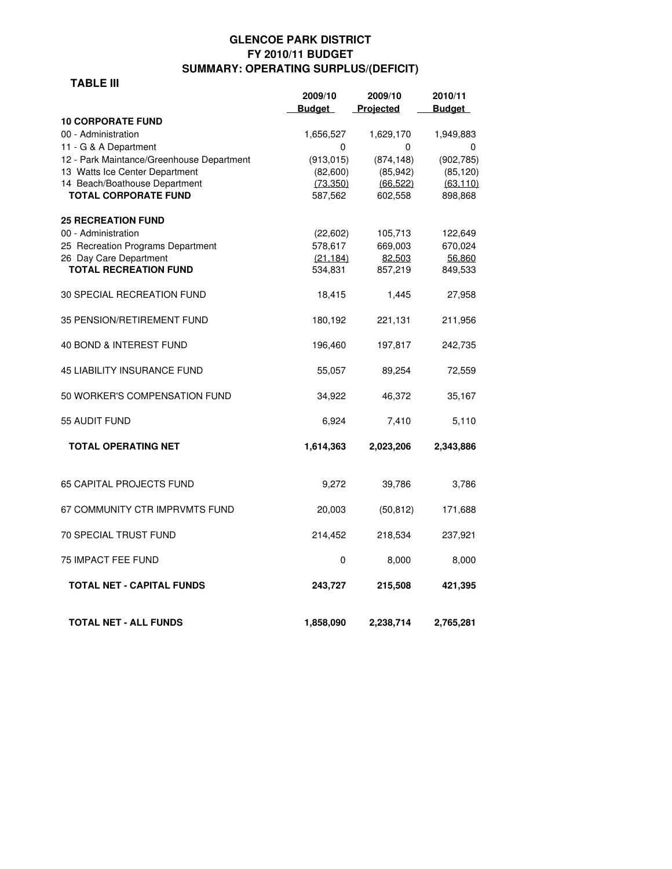## **GLENCOE PARK DISTRICT FY 2010/11 BUDGET SUMMARY: OPERATING SURPLUS/(DEFICIT)**

#### **TABLE III**

|                                                                 | 2009/10               | 2009/10                | 2010/11                |
|-----------------------------------------------------------------|-----------------------|------------------------|------------------------|
|                                                                 | <b>Budget</b>         | Projected              | <b>Budget</b>          |
| <b>10 CORPORATE FUND</b>                                        |                       |                        |                        |
| 00 - Administration                                             | 1,656,527             | 1,629,170              | 1,949,883              |
| 11 - G & A Department                                           | $\Omega$              | 0                      | 0                      |
| 12 - Park Maintance/Greenhouse Department                       | (913, 015)            | (874, 148)             | (902, 785)             |
| 13 Watts Ice Center Department<br>14 Beach/Boathouse Department | (82,600)<br>(73, 350) | (85, 942)<br>(66, 522) | (85, 120)<br>(63, 110) |
| <b>TOTAL CORPORATE FUND</b>                                     | 587,562               | 602,558                | 898,868                |
| <b>25 RECREATION FUND</b>                                       |                       |                        |                        |
| 00 - Administration                                             | (22,602)              | 105,713                | 122,649                |
| 25 Recreation Programs Department                               | 578,617               | 669,003                | 670,024                |
| 26 Day Care Department                                          | (21.184)              | 82,503                 | 56,860                 |
| <b>TOTAL RECREATION FUND</b>                                    | 534,831               | 857,219                | 849,533                |
| <b>30 SPECIAL RECREATION FUND</b>                               | 18,415                | 1,445                  | 27,958                 |
| 35 PENSION/RETIREMENT FUND                                      | 180,192               | 221,131                | 211,956                |
| 40 BOND & INTEREST FUND                                         | 196,460               | 197,817                | 242,735                |
| <b>45 LIABILITY INSURANCE FUND</b>                              | 55,057                | 89,254                 | 72,559                 |
| 50 WORKER'S COMPENSATION FUND                                   | 34,922                | 46,372                 | 35,167                 |
| 55 AUDIT FUND                                                   | 6,924                 | 7,410                  | 5,110                  |
| <b>TOTAL OPERATING NET</b>                                      | 1,614,363             | 2,023,206              | 2,343,886              |
| <b>65 CAPITAL PROJECTS FUND</b>                                 | 9,272                 | 39,786                 | 3,786                  |
| 67 COMMUNITY CTR IMPRVMTS FUND                                  | 20,003                | (50, 812)              | 171,688                |
| <b>70 SPECIAL TRUST FUND</b>                                    | 214,452               | 218,534                | 237,921                |
| <b>75 IMPACT FEE FUND</b>                                       | 0                     | 8,000                  | 8,000                  |
| <b>TOTAL NET - CAPITAL FUNDS</b>                                | 243,727               | 215,508                | 421,395                |
| <b>TOTAL NET - ALL FUNDS</b>                                    | 1,858,090             | 2,238,714              | 2,765,281              |